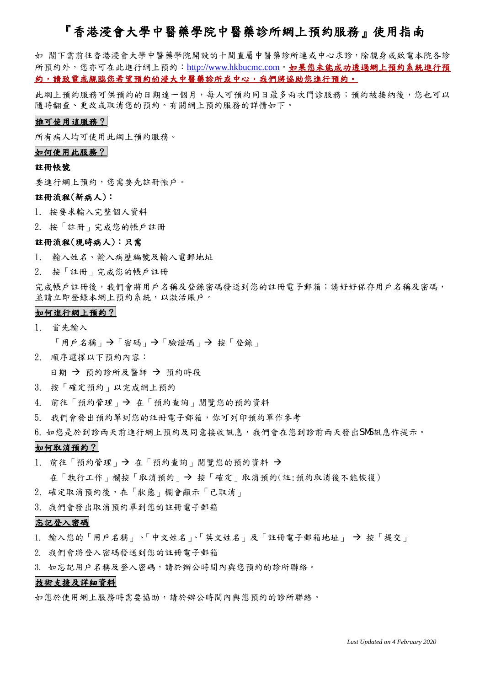# 『香港浸會大學中醫藥學院中醫藥診所網上預約服務』使用指南

如 閣下需前往香港浸會大學中醫藥學院開設的十間直屬中醫藥診所連或中心求診,除親身或致電本院各診 所預約外,您亦可在此進行網上預約:[http://www.hkbucmc.com](http://www.hkbucmc.com/)。如果您未能成功透過網上預約系統進行預 約,請致電或親臨您希望預約的浸大中醫藥診所或中心,我們將協助您進行預約。

此網上預約服務可供預約日期,每人可預約同日最多兩次門診服務;預約被接納後,您也可以 隨時翻查、更改或取消您的預約。有關網上預約服務的詳情如下。

# 誰可使用這服務?

所有病人均可使用此網上預約服務。

### 如何使用此服務?

### 註冊帳號

要進行網上預約,您需要先註冊帳戶。

### 註冊流程(新病人):

- 1. 按要求輸入完整個人資料
- 2. 按「註冊」完成您的帳戶註冊

# 註冊流程(現時病人):只需

- 1. 輸入姓名、輸入病歷編號及輸入電郵地址
- 2. 按「註冊」完成您的帳戶註冊

完成帳戶註冊後,我們會將用戶名稱及登錄密碼發送到您的註冊電子郵箱;請好好保存用戶名稱及密碼, 並請立即登錄本網上預約系統,以激活賬戶。

#### 如何進行網上預約?

1. 首先輸入

「用戶名稱」→「密碼」→「驗證碼」→按「登錄」

- 2. 順序選擇以下預約內容: 日期 → 預約診所及醫師 → 預約時段
- 3. 按「確定預約」以完成網上預約
- 4. 前往「預約管理」→ 在「預約查詢」閱覽您的預約資料
- 5. 我們會發出預約單到您的註冊電子郵箱,你可列印預約單作參考
- 6. 如您是於到診兩天前進行網上預約及同意接收訊息,我們會在您到診前兩天發出SMS訊息作提示。

# 如何取消預約?

- 1. 前往「預約管理」→ 在「預約查詢」閱覽您的預約資料→ 在「執行工作」欄按「取消預約」 按「確定」取消預約(註:預約取消後不能恢復)
- 2. 確定取消預約後,在「狀態」欄會顯示「已取消」
- 3. 我們會發出取消預約單到您的註冊電子郵箱

# 忘記登入密碼

- 1. 輸入您的「用戶名稱」、「中文姓名」、「英文姓名」及「註冊電子郵箱地址」 → 按「提交」
- 2. 我們會將登入密碼發送到您的註冊電子郵箱
- 3. 如忘記用戶名稱及登入密碼,請於辦公時間內與您預約的診所聯絡。

## 技術支援及詳細資料

如您於使用網上服務時需要協助,請於辦公時間內與您預約的診所聯絡。